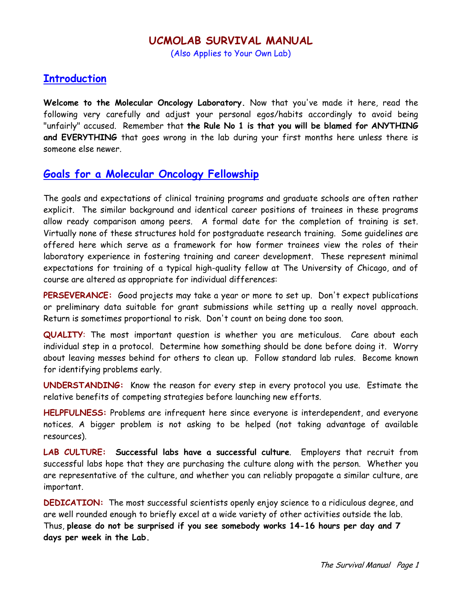## **UCMOLAB SURVIVAL MANUAL**

(Also Applies to Your Own Lab)

## **Introduction**

**Welcome to the Molecular Oncology Laboratory.** Now that you've made it here, read the following very carefully and adjust your personal egos/habits accordingly to avoid being "unfairly" accused. Remember that **the Rule No 1 is that you will be blamed for ANYTHING and EVERYTHING** that goes wrong in the lab during your first months here unless there is someone else newer.

## **Goals for a Molecular Oncology Fellowship**

The goals and expectations of clinical training programs and graduate schools are often rather explicit. The similar background and identical career positions of trainees in these programs allow ready comparison among peers. A formal date for the completion of training is set. Virtually none of these structures hold for postgraduate research training. Some guidelines are offered here which serve as a framework for how former trainees view the roles of their laboratory experience in fostering training and career development. These represent minimal expectations for training of a typical high-quality fellow at The University of Chicago, and of course are altered as appropriate for individual differences:

**PERSEVERANCE:** Good projects may take a year or more to set up. Don't expect publications or preliminary data suitable for grant submissions while setting up a really novel approach. Return is sometimes proportional to risk. Don't count on being done too soon.

**QUALITY**: The most important question is whether you are meticulous. Care about each individual step in a protocol. Determine how something should be done before doing it. Worry about leaving messes behind for others to clean up. Follow standard lab rules. Become known for identifying problems early.

**UNDERSTANDING:** Know the reason for every step in every protocol you use. Estimate the relative benefits of competing strategies before launching new efforts.

**HELPFULNESS:** Problems are infrequent here since everyone is interdependent, and everyone notices. A bigger problem is not asking to be helped (not taking advantage of available resources).

**LAB CULTURE: Successful labs have a successful culture**. Employers that recruit from successful labs hope that they are purchasing the culture along with the person. Whether you are representative of the culture, and whether you can reliably propagate a similar culture, are important.

**DEDICATION:** The most successful scientists openly enjoy science to a ridiculous degree, and are well rounded enough to briefly excel at a wide variety of other activities outside the lab. Thus, **please do not be surprised if you see somebody works 14-16 hours per day and 7 days per week in the Lab.**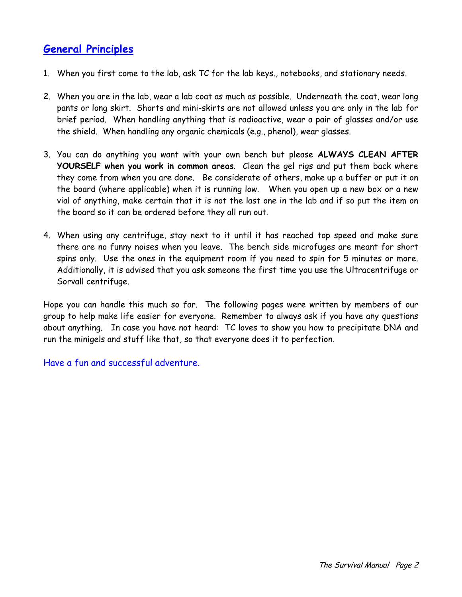# **General Principles**

- 1. When you first come to the lab, ask TC for the lab keys., notebooks, and stationary needs.
- 2. When you are in the lab, wear a lab coat as much as possible. Underneath the coat, wear long pants or long skirt. Shorts and mini-skirts are not allowed unless you are only in the lab for brief period. When handling anything that is radioactive, wear a pair of glasses and/or use the shield. When handling any organic chemicals (e.g., phenol), wear glasses.
- 3. You can do anything you want with your own bench but please **ALWAYS CLEAN AFTER YOURSELF when you work in common areas**. Clean the gel rigs and put them back where they come from when you are done. Be considerate of others, make up a buffer or put it on the board (where applicable) when it is running low. When you open up a new box or a new vial of anything, make certain that it is not the last one in the lab and if so put the item on the board so it can be ordered before they all run out.
- 4. When using any centrifuge, stay next to it until it has reached top speed and make sure there are no funny noises when you leave. The bench side microfuges are meant for short spins only. Use the ones in the equipment room if you need to spin for 5 minutes or more. Additionally, it is advised that you ask someone the first time you use the Ultracentrifuge or Sorvall centrifuge.

Hope you can handle this much so far. The following pages were written by members of our group to help make life easier for everyone. Remember to always ask if you have any questions about anything. In case you have not heard: TC loves to show you how to precipitate DNA and run the minigels and stuff like that, so that everyone does it to perfection.

Have a fun and successful adventure.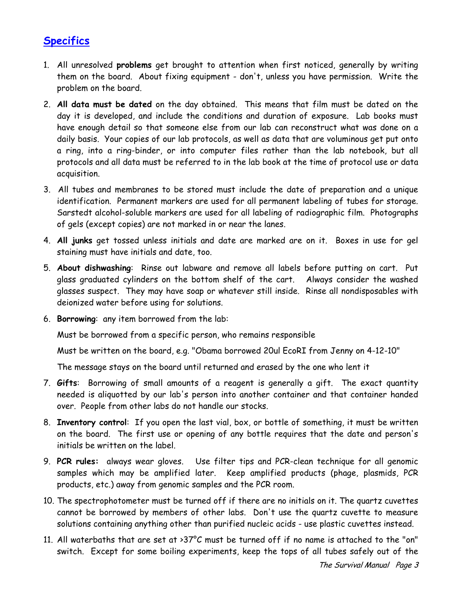# **Specifics**

- 1. All unresolved **problems** get brought to attention when first noticed, generally by writing them on the board. About fixing equipment - don't, unless you have permission. Write the problem on the board.
- 2. **All data must be dated** on the day obtained. This means that film must be dated on the day it is developed, and include the conditions and duration of exposure. Lab books must have enough detail so that someone else from our lab can reconstruct what was done on a daily basis. Your copies of our lab protocols, as well as data that are voluminous get put onto a ring, into a ring-binder, or into computer files rather than the lab notebook, but all protocols and all data must be referred to in the lab book at the time of protocol use or data acquisition.
- 3. All tubes and membranes to be stored must include the date of preparation and a unique identification. Permanent markers are used for all permanent labeling of tubes for storage. Sarstedt alcohol-soluble markers are used for all labeling of radiographic film. Photographs of gels (except copies) are not marked in or near the lanes.
- 4. **All junks** get tossed unless initials and date are marked are on it. Boxes in use for gel staining must have initials and date, too.
- 5. **About dishwashing**: Rinse out labware and remove all labels before putting on cart. Put glass graduated cylinders on the bottom shelf of the cart. Always consider the washed glasses suspect. They may have soap or whatever still inside. Rinse all nondisposables with deionized water before using for solutions.
- 6. **Borrowing**: any item borrowed from the lab:

Must be borrowed from a specific person, who remains responsible

Must be written on the board, e.g. "Obama borrowed 20ul EcoRI from Jenny on 4-12-10"

The message stays on the board until returned and erased by the one who lent it

- 7. **Gifts**: Borrowing of small amounts of a reagent is generally a gift. The exact quantity needed is aliquotted by our lab's person into another container and that container handed over. People from other labs do not handle our stocks.
- 8. **Inventory control**: If you open the last vial, box, or bottle of something, it must be written on the board. The first use or opening of any bottle requires that the date and person's initials be written on the label.
- 9. **PCR rules:** always wear gloves. Use filter tips and PCR-clean technique for all genomic samples which may be amplified later. Keep amplified products (phage, plasmids, PCR products, etc.) away from genomic samples and the PCR room.
- 10. The spectrophotometer must be turned off if there are no initials on it. The quartz cuvettes cannot be borrowed by members of other labs. Don't use the quartz cuvette to measure solutions containing anything other than purified nucleic acids - use plastic cuvettes instead.
- 11. All waterbaths that are set at  $>37^{\circ}C$  must be turned off if no name is attached to the "on" switch. Except for some boiling experiments, keep the tops of all tubes safely out of the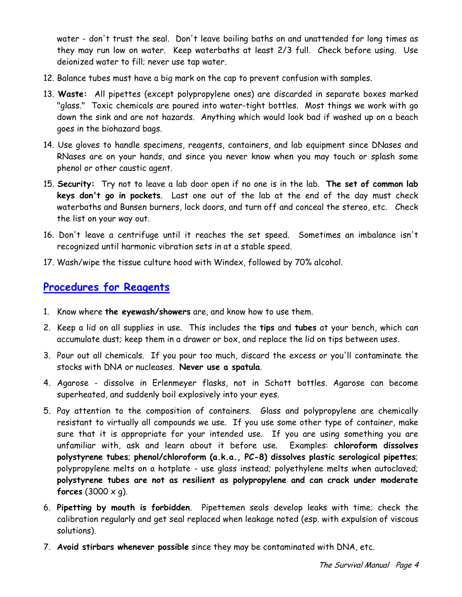water - don't trust the seal. Don't leave boiling baths on and unattended for long times as they may run low on water. Keep waterbaths at least 2/3 full. Check before using. Use deionized water to fill; never use tap water.

- 12. Balance tubes must have a big mark on the cap to prevent confusion with samples.
- 13. **Waste:** All pipettes (except polypropylene ones) are discarded in separate boxes marked "glass." Toxic chemicals are poured into water-tight bottles. Most things we work with go down the sink and are not hazards. Anything which would look bad if washed up on a beach goes in the biohazard bags.
- 14. Use gloves to handle specimens, reagents, containers, and lab equipment since DNases and RNases are on your hands, and since you never know when you may touch or splash some phenol or other caustic agent.
- 15. **Security:** Try not to leave a lab door open if no one is in the lab. **The set of common lab keys don't go in pockets**. Last one out of the lab at the end of the day must check waterbaths and Bunsen burners, lock doors, and turn off and conceal the stereo, etc. Check the list on your way out.
- 16. Don't leave a centrifuge until it reaches the set speed. Sometimes an imbalance isn't recognized until harmonic vibration sets in at a stable speed.
- 17. Wash/wipe the tissue culture hood with Windex, followed by 70% alcohol.

# **Procedures for Reagents**

- 1. Know where **the eyewash/showers** are, and know how to use them.
- 2. Keep a lid on all supplies in use. This includes the **tips** and **tubes** at your bench, which can accumulate dust; keep them in a drawer or box, and replace the lid on tips between uses.
- 3. Pour out all chemicals. If you pour too much, discard the excess or you'll contaminate the stocks with DNA or nucleases. **Never use a spatula**.
- 4. Agarose dissolve in Erlenmeyer flasks, not in Schott bottles. Agarose can become superheated, and suddenly boil explosively into your eyes.
- 5. Pay attention to the composition of containers. Glass and polypropylene are chemically resistant to virtually all compounds we use. If you use some other type of container, make sure that it is appropriate for your intended use. If you are using something you are unfamiliar with, ask and learn about it before use. Examples: **chloroform dissolves polystyrene tubes**; **phenol/chloroform (a.k.a., PC-8) dissolves plastic serological pipettes**; polypropylene melts on a hotplate - use glass instead; polyethylene melts when autoclaved; **polystyrene tubes are not as resilient as polypropylene and can crack under moderate forces**  $(3000 \times q)$ .
- 6. **Pipetting by mouth is forbidden**. Pipettemen seals develop leaks with time; check the calibration regularly and get seal replaced when leakage noted (esp. with expulsion of viscous solutions).
- 7. **Avoid stirbars whenever possible** since they may be contaminated with DNA, etc.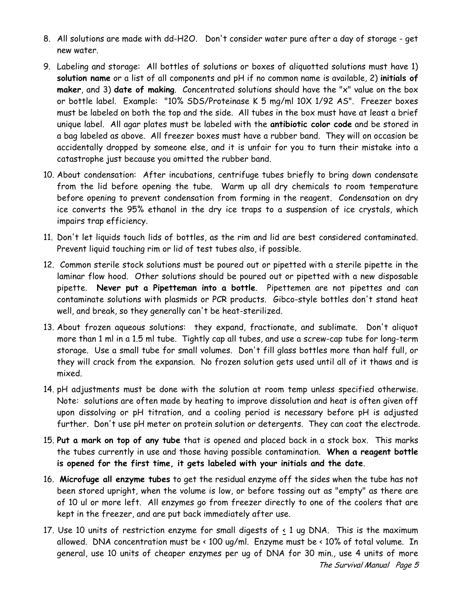- 8. All solutions are made with dd-H2O. Don't consider water pure after a day of storage get new water.
- 9. Labeling and storage: All bottles of solutions or boxes of aliquotted solutions must have 1) **solution name** or a list of all components and pH if no common name is available, 2) **initials of maker**, and 3) **date of making**. Concentrated solutions should have the "x" value on the box or bottle label. Example: "10% SDS/Proteinase K 5 mg/ml 10X 1/92 AS". Freezer boxes must be labeled on both the top and the side. All tubes in the box must have at least a brief unique label. All agar plates must be labeled with the **antibiotic color code** and be stored in a bag labeled as above. All freezer boxes must have a rubber band. They will on occasion be accidentally dropped by someone else, and it is unfair for you to turn their mistake into a catastrophe just because you omitted the rubber band.
- 10. About condensation: After incubations, centrifuge tubes briefly to bring down condensate from the lid before opening the tube. Warm up all dry chemicals to room temperature before opening to prevent condensation from forming in the reagent. Condensation on dry ice converts the 95% ethanol in the dry ice traps to a suspension of ice crystals, which impairs trap efficiency.
- 11. Don't let liquids touch lids of bottles, as the rim and lid are best considered contaminated. Prevent liquid touching rim or lid of test tubes also, if possible.
- 12. Common sterile stock solutions must be poured out or pipetted with a sterile pipette in the laminar flow hood. Other solutions should be poured out or pipetted with a new disposable pipette. **Never put a Pipetteman into a bottle**. Pipettemen are not pipettes and can contaminate solutions with plasmids or PCR products. Gibco-style bottles don't stand heat well, and break, so they generally can't be heat-sterilized.
- 13. About frozen aqueous solutions: they expand, fractionate, and sublimate. Don't aliquot more than 1 ml in a 1.5 ml tube. Tightly cap all tubes, and use a screw-cap tube for long-term storage. Use a small tube for small volumes. Don't fill glass bottles more than half full, or they will crack from the expansion. No frozen solution gets used until all of it thaws and is mixed.
- 14. pH adjustments must be done with the solution at room temp unless specified otherwise. Note: solutions are often made by heating to improve dissolution and heat is often given off upon dissolving or pH titration, and a cooling period is necessary before pH is adjusted further. Don't use pH meter on protein solution or detergents. They can coat the electrode.
- 15. **Put a mark on top of any tube** that is opened and placed back in a stock box. This marks the tubes currently in use and those having possible contamination. **When a reagent bottle is opened for the first time, it gets labeled with your initials and the date**.
- 16. **Microfuge all enzyme tubes** to get the residual enzyme off the sides when the tube has not been stored upright, when the volume is low, or before tossing out as "empty" as there are of 10 ul or more left. All enzymes go from freezer directly to one of the coolers that are kept in the freezer, and are put back immediately after use.
- The Survival Manual Page 5 17. Use 10 units of restriction enzyme for small digests of  $\leq$  1 ug DNA. This is the maximum allowed. DNA concentration must be < 100 ug/ml. Enzyme must be < 10% of total volume. In general, use 10 units of cheaper enzymes per ug of DNA for 30 min., use 4 units of more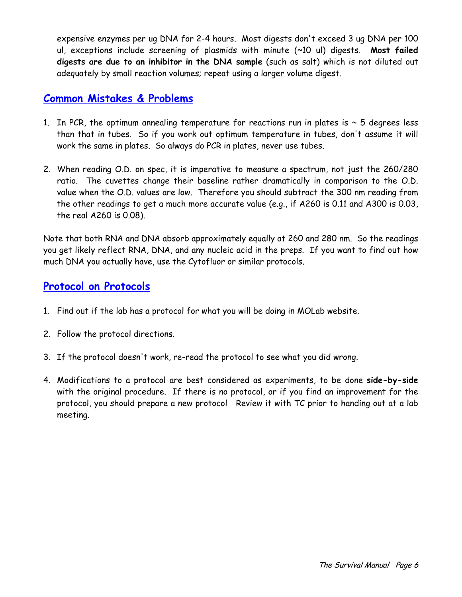expensive enzymes per ug DNA for 2-4 hours. Most digests don't exceed 3 ug DNA per 100 ul, exceptions include screening of plasmids with minute (~10 ul) digests. **Most failed digests are due to an inhibitor in the DNA sample** (such as salt) which is not diluted out adequately by small reaction volumes; repeat using a larger volume digest.

## **Common Mistakes & Problems**

- 1. In PCR, the optimum annealing temperature for reactions run in plates is  $\sim$  5 degrees less than that in tubes. So if you work out optimum temperature in tubes, don't assume it will work the same in plates. So always do PCR in plates, never use tubes.
- 2. When reading O.D. on spec, it is imperative to measure a spectrum, not just the 260/280 ratio. The cuvettes change their baseline rather dramatically in comparison to the O.D. value when the O.D. values are low. Therefore you should subtract the 300 nm reading from the other readings to get a much more accurate value (e.g., if A260 is 0.11 and A300 is 0.03, the real A260 is 0.08).

Note that both RNA and DNA absorb approximately equally at 260 and 280 nm. So the readings you get likely reflect RNA, DNA, and any nucleic acid in the preps. If you want to find out how much DNA you actually have, use the Cytofluor or similar protocols.

## **Protocol on Protocols**

- 1. Find out if the lab has a protocol for what you will be doing in MOLab website.
- 2. Follow the protocol directions.
- 3. If the protocol doesn't work, re-read the protocol to see what you did wrong.
- 4. Modifications to a protocol are best considered as experiments, to be done **side-by-side** with the original procedure. If there is no protocol, or if you find an improvement for the protocol, you should prepare a new protocol Review it with TC prior to handing out at a lab meeting.